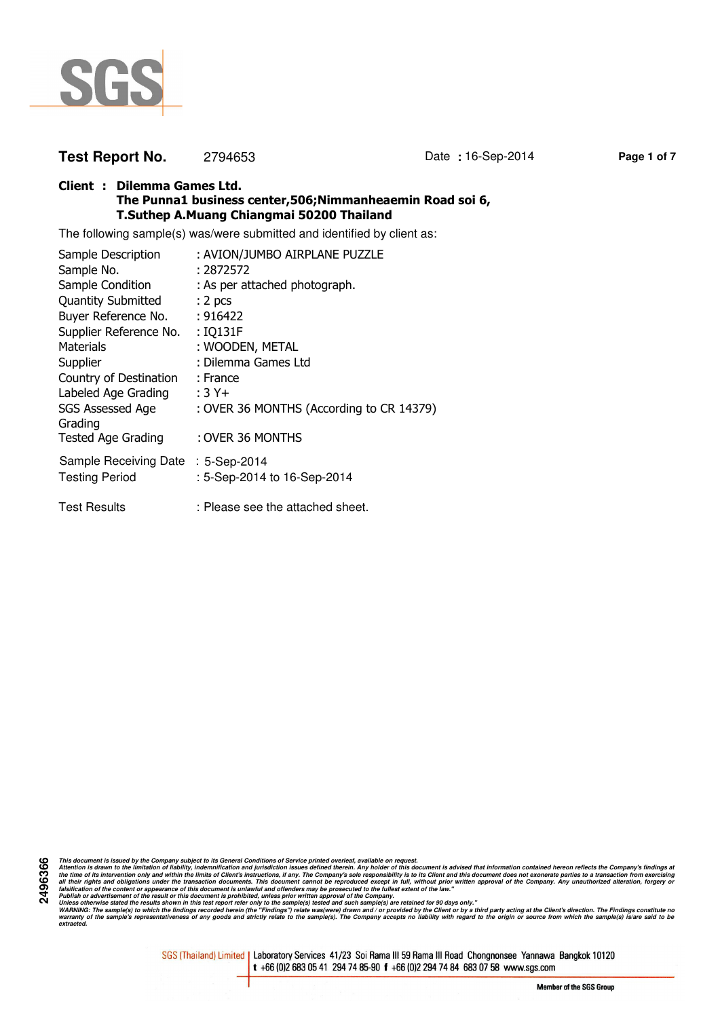

# **Test Report No.** 2794653 Date **:** 16-Sep-2014 **Page 1 of 7**

#### **Client : Dilemma Games Ltd. The Punna1 business center,506;Nimmanheaemin Road soi 6, T.Suthep A.Muang Chiangmai 50200 Thailand**

The following sample(s) was/were submitted and identified by client as:

| Sample Description                 | : AVION/JUMBO AIRPLANE PUZZLE            |
|------------------------------------|------------------------------------------|
| Sample No.                         | : 2872572                                |
| Sample Condition                   | : As per attached photograph.            |
| <b>Quantity Submitted</b>          | : 2 <sub>pcs</sub>                       |
| Buyer Reference No.                | : 916422                                 |
| Supplier Reference No.             | : IQ131F                                 |
| Materials                          | : WOODEN, METAL                          |
| Supplier                           | : Dilemma Games Ltd                      |
| Country of Destination             | : France                                 |
| Labeled Age Grading                | $:3Y+$                                   |
| <b>SGS Assessed Age</b><br>Grading | : OVER 36 MONTHS (According to CR 14379) |
| <b>Tested Age Grading</b>          | : OVER 36 MONTHS                         |
| Sample Receiving Date : 5-Sep-2014 |                                          |
| <b>Testing Period</b>              | : 5-Sep-2014 to 16-Sep-2014              |
| <b>Test Results</b>                | : Please see the attached sheet.         |

**2496366** This document is issued by the Company subject to its General Conditions of Service printed overled, available on regard.<br>Attention is drawn to the ilmitation of liability, indemnification and jurisdiction issues defined t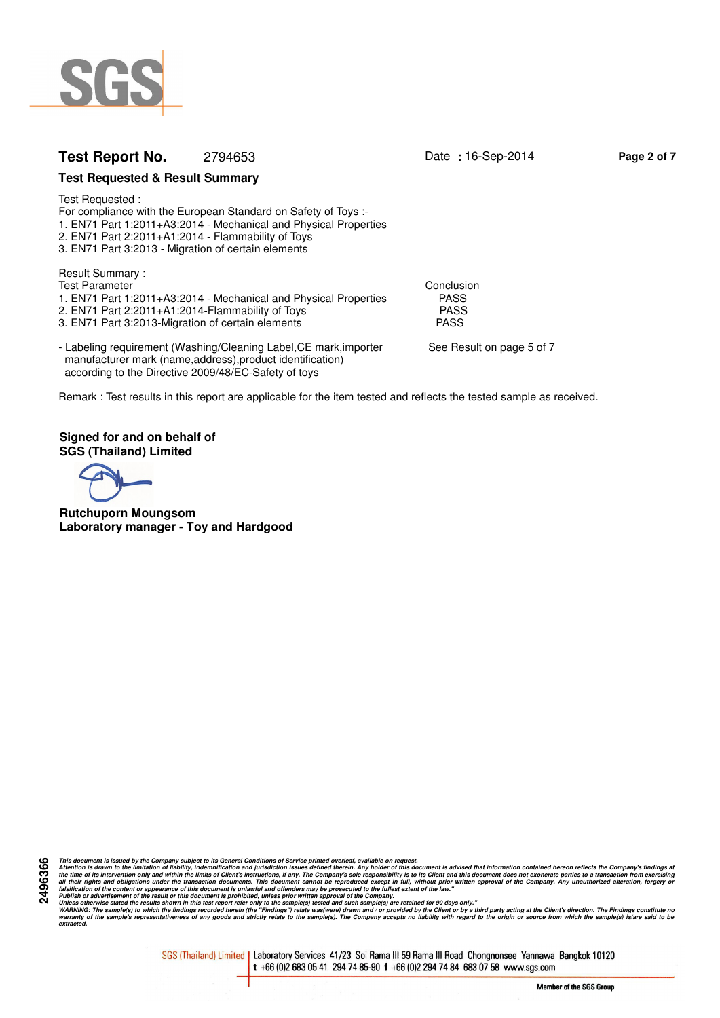

# **Test Report No.** 2794653 Date **:** 16-Sep-2014 **Page 2 of 7**

#### **Test Requested & Result Summary**

Test Requested :

For compliance with the European Standard on Safety of Toys :- 1. EN71 Part 1:2011+A3:2014 - Mechanical and Physical Properties

- 2. EN71 Part 2:2011+A1:2014 Flammability of Toys
- 3. EN71 Part 3:2013 Migration of certain elements

Result Summary :

Test Parameter Conclusion<br>1. EN71 Part 1:2011+A3:2014 - Mechanical and Physical Properties FASS 1. EN71 Part 1:2011+A3:2014 - Mechanical and Physical Properties PASS<br>2. EN71 Part 2:2011+A1:2014-Flammability of Toys

2. EN71 Part 2:2011+A1:2014-Flammability of Toys<br>3. EN71 Part 3:2013-Migration of certain elements PASS

3. EN71 Part 3:2013-Migration of certain elements

- Labeling requirement (Washing/Cleaning Label, CE mark, importer See Result on page 5 of 7 manufacturer mark (name,address),product identification) according to the Directive 2009/48/EC-Safety of toys

Remark : Test results in this report are applicable for the item tested and reflects the tested sample as received.

**Signed for and on behalf of SGS (Thailand) Limited**

**Rutchuporn Moungsom Laboratory manager - Toy and Hardgood**

This document is issued by the Company subject to its General Conditions of Service printed overled, available on regard.<br>Attention is drawn to the ilmitation of liability, indemnification and jurisdiction issues defined t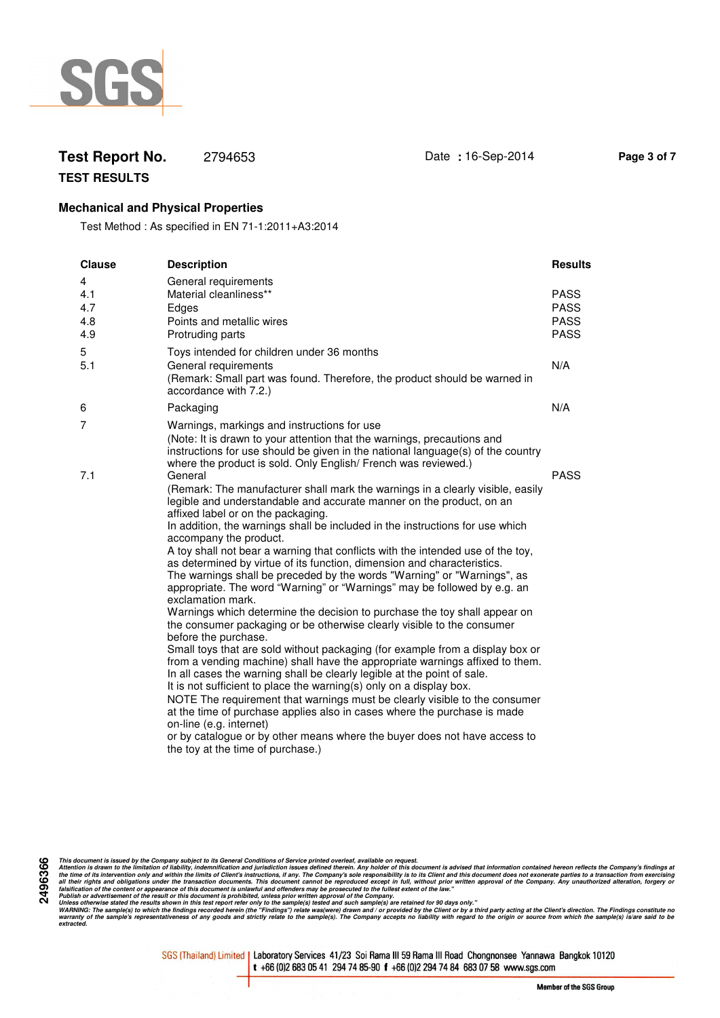

# **Test Report No.** 2794653 Date **:** 16-Sep-2014 **Page 3 of 7**

**TEST RESULTS**

### **Mechanical and Physical Properties**

Test Method : As specified in EN 71-1:2011+A3:2014

| <b>Clause</b>                 | <b>Description</b>                                                                                                                                                                                                                                                                                                                                                                                                                                                                                                                                                                                                                                                                                                                                                                                                                                                                                                                                                                                                                                                                                                                                                                                                                                                                                                                                                                                                                                                    | <b>Results</b>                                           |
|-------------------------------|-----------------------------------------------------------------------------------------------------------------------------------------------------------------------------------------------------------------------------------------------------------------------------------------------------------------------------------------------------------------------------------------------------------------------------------------------------------------------------------------------------------------------------------------------------------------------------------------------------------------------------------------------------------------------------------------------------------------------------------------------------------------------------------------------------------------------------------------------------------------------------------------------------------------------------------------------------------------------------------------------------------------------------------------------------------------------------------------------------------------------------------------------------------------------------------------------------------------------------------------------------------------------------------------------------------------------------------------------------------------------------------------------------------------------------------------------------------------------|----------------------------------------------------------|
| 4<br>4.1<br>4.7<br>4.8<br>4.9 | General requirements<br>Material cleanliness**<br>Edges<br>Points and metallic wires<br>Protruding parts                                                                                                                                                                                                                                                                                                                                                                                                                                                                                                                                                                                                                                                                                                                                                                                                                                                                                                                                                                                                                                                                                                                                                                                                                                                                                                                                                              | <b>PASS</b><br><b>PASS</b><br><b>PASS</b><br><b>PASS</b> |
| 5<br>5.1                      | Toys intended for children under 36 months<br>General requirements<br>(Remark: Small part was found. Therefore, the product should be warned in<br>accordance with 7.2.)                                                                                                                                                                                                                                                                                                                                                                                                                                                                                                                                                                                                                                                                                                                                                                                                                                                                                                                                                                                                                                                                                                                                                                                                                                                                                              | N/A                                                      |
| 6                             | Packaging                                                                                                                                                                                                                                                                                                                                                                                                                                                                                                                                                                                                                                                                                                                                                                                                                                                                                                                                                                                                                                                                                                                                                                                                                                                                                                                                                                                                                                                             | N/A                                                      |
| 7                             | Warnings, markings and instructions for use<br>(Note: It is drawn to your attention that the warnings, precautions and<br>instructions for use should be given in the national language(s) of the country<br>where the product is sold. Only English/ French was reviewed.)                                                                                                                                                                                                                                                                                                                                                                                                                                                                                                                                                                                                                                                                                                                                                                                                                                                                                                                                                                                                                                                                                                                                                                                           |                                                          |
| 7.1                           | General<br>(Remark: The manufacturer shall mark the warnings in a clearly visible, easily<br>legible and understandable and accurate manner on the product, on an<br>affixed label or on the packaging.<br>In addition, the warnings shall be included in the instructions for use which<br>accompany the product.<br>A toy shall not bear a warning that conflicts with the intended use of the toy,<br>as determined by virtue of its function, dimension and characteristics.<br>The warnings shall be preceded by the words "Warning" or "Warnings", as<br>appropriate. The word "Warning" or "Warnings" may be followed by e.g. an<br>exclamation mark.<br>Warnings which determine the decision to purchase the toy shall appear on<br>the consumer packaging or be otherwise clearly visible to the consumer<br>before the purchase.<br>Small toys that are sold without packaging (for example from a display box or<br>from a vending machine) shall have the appropriate warnings affixed to them.<br>In all cases the warning shall be clearly legible at the point of sale.<br>It is not sufficient to place the warning(s) only on a display box.<br>NOTE The requirement that warnings must be clearly visible to the consumer<br>at the time of purchase applies also in cases where the purchase is made<br>on-line (e.g. internet)<br>or by catalogue or by other means where the buyer does not have access to<br>the toy at the time of purchase.) | <b>PASS</b>                                              |

This document is issued by the Company subject to its General Conditions of Service printed overled, available on regard.<br>Attention is drawn to the ilmitation of liability, indemnification and jurisdiction issues defined t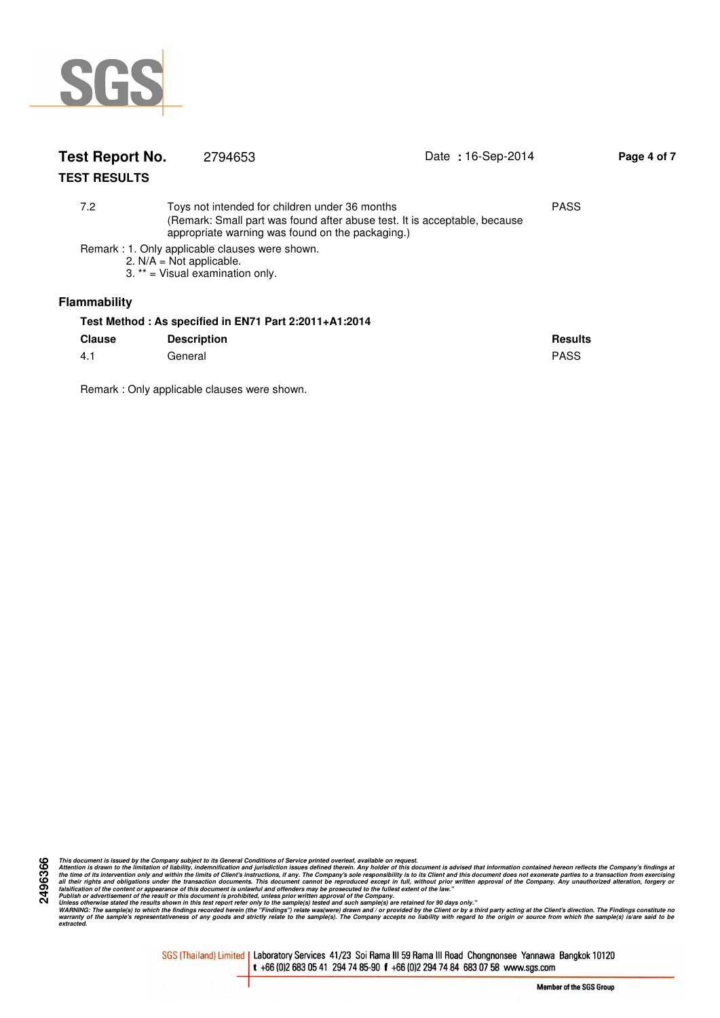

| Test Report No.     | 2794653                                                                                                                                                                                        | Date: 16-Sep-2014 | Page 4 of 7 |
|---------------------|------------------------------------------------------------------------------------------------------------------------------------------------------------------------------------------------|-------------------|-------------|
| <b>TEST RESULTS</b> |                                                                                                                                                                                                |                   |             |
| 7.2                 | <b>PASS</b><br>Toys not intended for children under 36 months<br>(Remark: Small part was found after abuse test. It is acceptable, because<br>appropriate warning was found on the packaging.) |                   |             |
|                     | Remark: 1. Only applicable clauses were shown.<br>2. $N/A = Not$ applicable.<br>3. ** = Visual examination only.                                                                               |                   |             |
| <b>Flammability</b> |                                                                                                                                                                                                |                   |             |
|                     | Test Method: As specified in EN71 Part 2:2011+A1:2014                                                                                                                                          |                   |             |
| <b>Clause</b>       | <b>Description</b>                                                                                                                                                                             | <b>Results</b>    |             |
| 4.1                 | General                                                                                                                                                                                        | <b>PASS</b>       |             |

Remark : Only applicable clauses were shown.

This document is issued by the Company subject to its General Conditions of Service printed overled, available on regard.<br>Attention is drawn to the ilmitation of liability, indemnification and jurisdiction issues defined t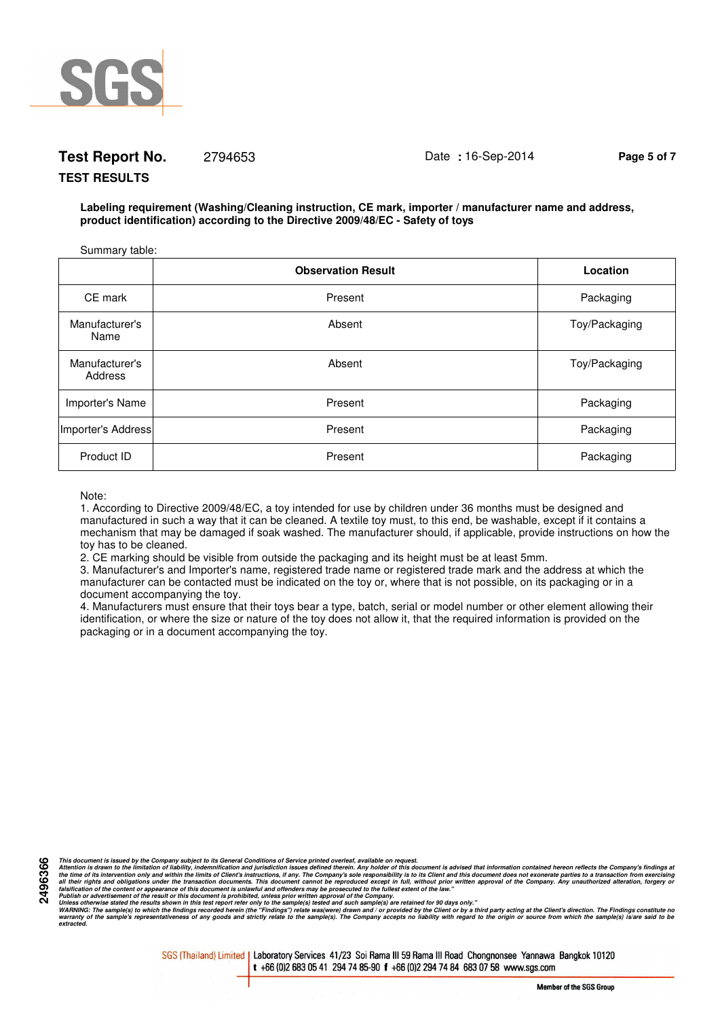

# **Test Report No.** 2794653 Date **:** 16-Sep-2014 **Page 5 of 7**

#### **TEST RESULTS**

**Labeling requirement (Washing/Cleaning instruction, CE mark, importer / manufacturer name and address, product identification) according to the Directive 2009/48/EC - Safety of toys**

| Summary table:            |                           |               |
|---------------------------|---------------------------|---------------|
|                           | <b>Observation Result</b> | Location      |
| CE mark                   | Present                   | Packaging     |
| Manufacturer's<br>Name    | Absent                    | Toy/Packaging |
| Manufacturer's<br>Address | Absent                    | Toy/Packaging |
| Importer's Name           | Present                   | Packaging     |
| Importer's Address        | Present                   | Packaging     |
| Product ID                | Present                   | Packaging     |

Note:

**2496366**

1. According to Directive 2009/48/EC, a toy intended for use by children under 36 months must be designed and manufactured in such a way that it can be cleaned. A textile toy must, to this end, be washable, except if it contains a mechanism that may be damaged if soak washed. The manufacturer should, if applicable, provide instructions on how the toy has to be cleaned.

2. CE marking should be visible from outside the packaging and its height must be at least 5mm.

3. Manufacturer's and Importer's name, registered trade name or registered trade mark and the address at which the manufacturer can be contacted must be indicated on the toy or, where that is not possible, on its packaging or in a document accompanying the toy.

4. Manufacturers must ensure that their toys bear a type, batch, serial or model number or other element allowing their identification, or where the size or nature of the toy does not allow it, that the required information is provided on the packaging or in a document accompanying the toy.

This document is issued by the Company subject to its General Conditions of Service printed overled, available on regard.<br>Attention is drawn to the ilmitation of liability, indemnification and jurisdiction issues defined t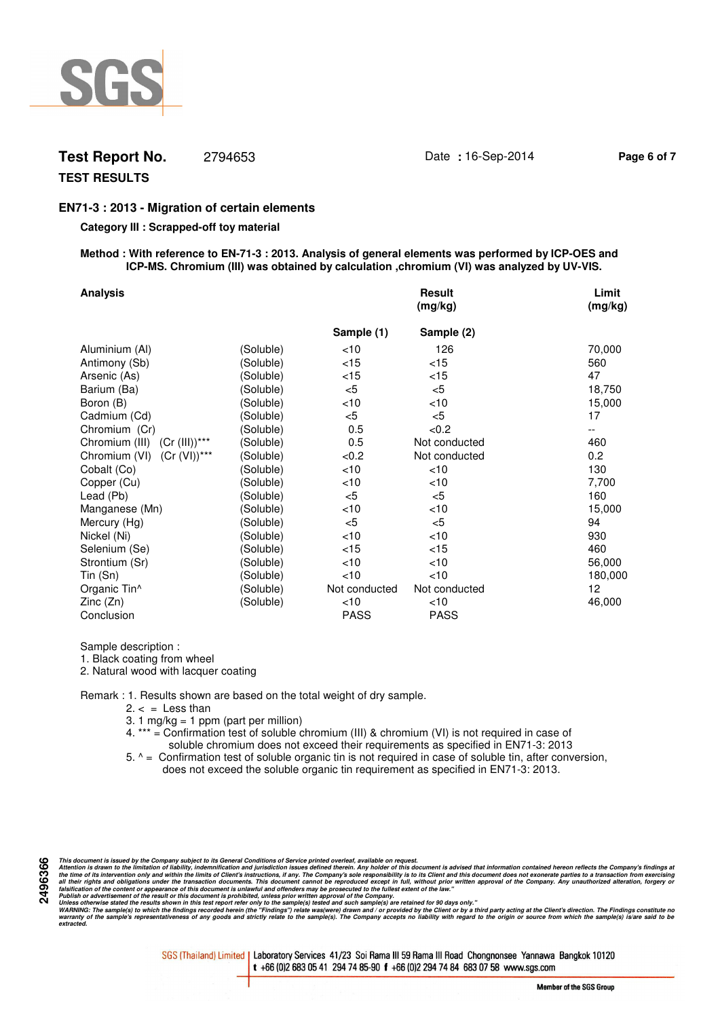

## **Test Report No.** 2794653 Date **:** 16-Sep-2014 **Page 6 of 7**

## **TEST RESULTS**

### **EN71-3 : 2013 - Migration of certain elements**

#### **Category III : Scrapped-off toy material**

#### **Method : With reference to EN-71-3 : 2013. Analysis of general elements was performed by ICP-OES and ICP-MS. Chromium (III) was obtained by calculation ,chromium (VI) was analyzed by UV-VIS.**

| <b>Analysis</b>                  |           |               | <b>Result</b><br>(mg/kg) | Limit<br>(mg/kg) |
|----------------------------------|-----------|---------------|--------------------------|------------------|
|                                  |           | Sample (1)    | Sample (2)               |                  |
| Aluminium (Al)                   | (Soluble) | $<$ 10        | 126                      | 70,000           |
| Antimony (Sb)                    | (Soluble) | $<$ 15        | $<$ 15                   | 560              |
| Arsenic (As)                     | (Soluble) | ${<}15$       | $<$ 15                   | 47               |
| Barium (Ba)                      | (Soluble) | $<$ 5         | $<$ 5                    | 18,750           |
| Boron (B)                        | (Soluble) | $<$ 10        | $<$ 10                   | 15,000           |
| Cadmium (Cd)                     | (Soluble) | $<$ 5         | $<$ 5                    | 17               |
| Chromium (Cr)                    | (Soluble) | 0.5           | < 0.2                    |                  |
| Chromium (III) (Cr (III))***     | (Soluble) | 0.5           | Not conducted            | 460              |
| $(Cr (VI))$ ***<br>Chromium (VI) | (Soluble) | <0.2          | Not conducted            | 0.2              |
| Cobalt (Co)                      | (Soluble) | $<$ 10        | $<$ 10                   | 130              |
| Copper (Cu)                      | (Soluble) | $<$ 10        | < 10                     | 7,700            |
| Lead (Pb)                        | (Soluble) | $<$ 5         | $<$ 5                    | 160              |
| Manganese (Mn)                   | (Soluble) | $<$ 10        | $<$ 10                   | 15,000           |
| Mercury (Hg)                     | (Soluble) | $<$ 5         | $<$ 5                    | 94               |
| Nickel (Ni)                      | (Soluble) | $<$ 10        | $<$ 10                   | 930              |
| Selenium (Se)                    | (Soluble) | < 15          | $<$ 15                   | 460              |
| Strontium (Sr)                   | (Soluble) | $<$ 10        | $<$ 10                   | 56,000           |
| Tin (Sn)                         | (Soluble) | $<$ 10        | $<$ 10                   | 180,000          |
| Organic Tin <sup>^</sup>         | (Soluble) | Not conducted | Not conducted            | 12               |
| Zinc (Zn)                        | (Soluble) | $<$ 10        | $<$ 10                   | 46,000           |
| Conclusion                       |           | <b>PASS</b>   | <b>PASS</b>              |                  |

Sample description :

1. Black coating from wheel

2. Natural wood with lacquer coating

Remark : 1. Results shown are based on the total weight of dry sample.

- $2. < =$  Less than
- 3. 1 mg/kg = 1 ppm (part per million)
- 4. \*\*\* = Confirmation test of soluble chromium (III) & chromium (VI) is not required in case of soluble chromium does not exceed their requirements as specified in EN71-3: 2013
- 5. ^ = Confirmation test of soluble organic tin is not required in case of soluble tin, after conversion, does not exceed the soluble organic tin requirement as specified in EN71-3: 2013.

This document is issued by the Company subject to its General Conditions of Service printed overled, available on regard.<br>Attention is drawn to the ilmitation of liability, indemnification and jurisdiction issues defined t